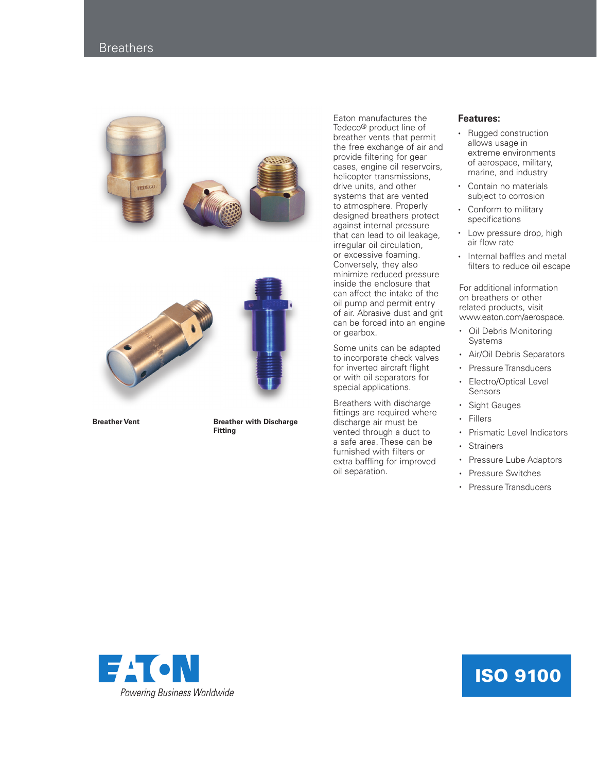## **Breathers**





**Breather Vent Breather with Discharge Fitting**

Eaton manufactures the Tedeco® product line of breather vents that permit the free exchange of air and provide filtering for gear cases, engine oil reservoirs, helicopter transmissions, drive units, and other systems that are vented to atmosphere. Properly designed breathers protect against internal pressure that can lead to oil leakage, irregular oil circulation, or excessive foaming. Conversely, they also minimize reduced pressure inside the enclosure that can affect the intake of the oil pump and permit entry of air. Abrasive dust and grit can be forced into an engine or gearbox.

Some units can be adapted to incorporate check valves for inverted aircraft flight or with oil separators for special applications.

Breathers with discharge fittings are required where discharge air must be vented through a duct to a safe area. These can be furnished with filters or extra baffling for improved oil separation.

## **Features:**

- Rugged construction allows usage in extreme environments of aerospace, military, marine, and industry
- Contain no materials subject to corrosion
- Conform to military specifications
- Low pressure drop, high air flow rate
- Internal baffles and metal filters to reduce oil escape

For additional information on breathers or other related products, visit www.eaton.com/aerospace.

- Oil Debris Monitoring Systems
- Air/Oil Debris Separators
- Pressure Transducers Electro/Optical Level Sensors
- Sight Gauges
- Fillers
- Prismatic Level Indicators
- Strainers
- Pressure Lube Adaptors
- Pressure Switches
- Pressure Transducers



## ISO 9100